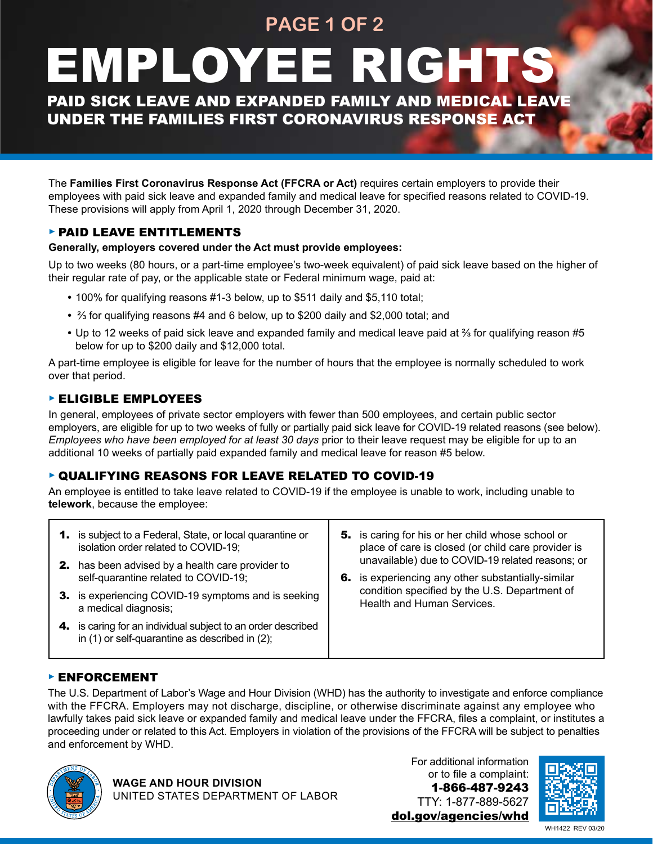## **PAGE 1 OF 2**

# EMPLOYEE RIGHTS

PAID SICK LEAVE AND EXPANDED FAMILY AND MEDICAL LEAVE UNDER THE FAMILIES FIRST CORONAVIRUS RESPONSE ACT

The **Families First Coronavirus Response Act (FFCRA or Act)** requires certain employers to provide their employees with paid sick leave and expanded family and medical leave for specified reasons related to COVID-19. These provisions will apply from April 1, 2020 through December 31, 2020.

#### ► PAID LEAVE ENTITLEMENTS

#### **Generally, employers covered under the Act must provide employees:**

Up to two weeks (80 hours, or a part-time employee's two-week equivalent) of paid sick leave based on the higher of their regular rate of pay, or the applicable state or Federal minimum wage, paid at:

- **•** 100% for qualifying reasons #1-3 below, up to \$511 daily and \$5,110 total;
- 2/3 for qualifying reasons #4 and 6 below, up to \$200 daily and \$2,000 total; and
- Up to 12 weeks of paid sick leave and expanded family and medical leave paid at <sup>2</sup>/<sub>3</sub> for qualifying reason #5 below for up to \$200 daily and \$12,000 total.

A part-time employee is eligible for leave for the number of hours that the employee is normally scheduled to work over that period.

#### ► ELIGIBLE EMPLOYEES

In general, employees of private sector employers with fewer than 500 employees, and certain public sector employers, are eligible for up to two weeks of fully or partially paid sick leave for COVID-19 related reasons (see below). *Employees who have been employed for at least 30 days* prior to their leave request may be eligible for up to an additional 10 weeks of partially paid expanded family and medical leave for reason #5 below.

#### ► QUALIFYING REASONS FOR LEAVE RELATED TO COVID-19

An employee is entitled to take leave related to COVID-19 if the employee is unable to work, including unable to **telework**, because the employee:

| 1. is subject to a Federal, State, or local quarantine or<br>isolation order related to COVID-19;<br><b>2.</b> has been advised by a health care provider to | 5. is caring for his or her child whose school or<br>place of care is closed (or child care provider is<br>unavailable) due to COVID-19 related reasons; or |
|--------------------------------------------------------------------------------------------------------------------------------------------------------------|-------------------------------------------------------------------------------------------------------------------------------------------------------------|
| self-quarantine related to COVID-19;<br>3. is experiencing COVID-19 symptoms and is seeking<br>a medical diagnosis;                                          | 6. is experiencing any other substantially-similar<br>condition specified by the U.S. Department of<br><b>Health and Human Services.</b>                    |
| 4. is caring for an individual subject to an order described<br>in $(1)$ or self-quarantine as described in $(2)$ ;                                          |                                                                                                                                                             |

#### ► ENFORCEMENT

The U.S. Department of Labor's Wage and Hour Division (WHD) has the authority to investigate and enforce compliance with the FFCRA. Employers may not discharge, discipline, or otherwise discriminate against any employee who lawfully takes paid sick leave or expanded family and medical leave under the FFCRA, files a complaint, or institutes a proceeding under or related to this Act. Employers in violation of the provisions of the FFCRA will be subject to penalties and enforcement by WHD.



For additional information or to file a complaint: 1-866-487-9243 TTY: 1-877-889-5627 [dol.gov/agencies/whd](http://www.dol.gov/agencies/whd)



WH1422 REV 03/20